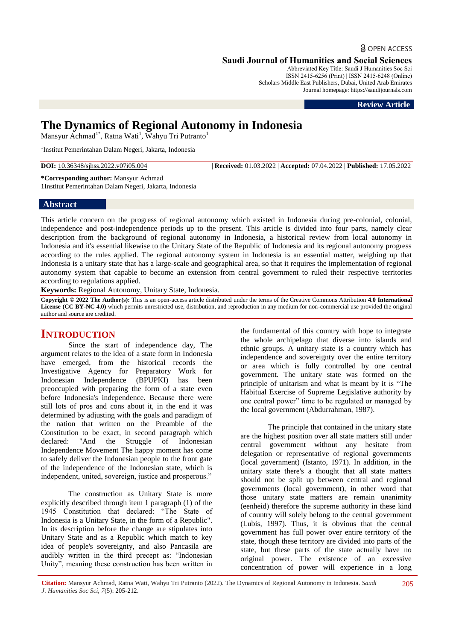a OPEN ACCESS

**Saudi Journal of Humanities and Social Sciences**

Abbreviated Key Title: Saudi J Humanities Soc Sci ISSN 2415-6256 (Print) | ISSN 2415-6248 (Online) Scholars Middle East Publishers, Dubai, United Arab Emirates Journal homepage: https://saudijournals.com

**Review Article**

# **The Dynamics of Regional Autonomy in Indonesia**

Mansyur Achmad<sup>1\*</sup>, Ratna Wati<sup>1</sup>, Wahyu Tri Putranto<sup>1</sup>

<sup>1</sup>Institut Pemerintahan Dalam Negeri, Jakarta, Indonesia

**DOI:** 10.36348/sjhss.2022.v07i05.004 | **Received:** 01.03.2022 | **Accepted:** 07.04.2022 | **Published:** 17.05.2022

**\*Corresponding author:** Mansyur Achmad 1Institut Pemerintahan Dalam Negeri, Jakarta, Indonesia

## **Abstract**

This article concern on the progress of regional autonomy which existed in Indonesia during pre-colonial, colonial, independence and post-independence periods up to the present. This article is divided into four parts, namely clear description from the background of regional autonomy in Indonesia, a historical review from local autonomy in Indonesia and it's essential likewise to the Unitary State of the Republic of Indonesia and its regional autonomy progress according to the rules applied. The regional autonomy system in Indonesia is an essential matter, weighing up that Indonesia is a unitary state that has a large-scale and geographical area, so that it requires the implementation of regional autonomy system that capable to become an extension from central government to ruled their respective territories according to regulations applied.

**Keywords:** Regional Autonomy, Unitary State, Indonesia.

**Copyright © 2022 The Author(s):** This is an open-access article distributed under the terms of the Creative Commons Attribution **4.0 International License (CC BY-NC 4.0)** which permits unrestricted use, distribution, and reproduction in any medium for non-commercial use provided the original author and source are credited.

# **INTRODUCTION**

Since the start of independence day, The argument relates to the idea of a state form in Indonesia have emerged, from the historical records the Investigative Agency for Preparatory Work for Indonesian Independence (BPUPKI) has been preoccupied with preparing the form of a state even before Indonesia's independence. Because there were still lots of pros and cons about it, in the end it was determined by adjusting with the goals and paradigm of the nation that written on the Preamble of the Constitution to be exact, in second paragraph which declared: "And the Struggle of Indonesian Independence Movement The happy moment has come to safely deliver the Indonesian people to the front gate of the independence of the Indonesian state, which is independent, united, sovereign, justice and prosperous."

The construction as Unitary State is more explicitly described through item 1 paragraph (1) of the 1945 Constitution that declared: "The State of Indonesia is a Unitary State, in the form of a Republic". In its description before the change are stipulates into Unitary State and as a Republic which match to key idea of people's sovereignty, and also Pancasila are audibly written in the third precept as: "Indonesian Unity", meaning these construction has been written in

the fundamental of this country with hope to integrate the whole archipelago that diverse into islands and ethnic groups. A unitary state is a country which has independence and sovereignty over the entire territory or area which is fully controlled by one central government. The unitary state was formed on the principle of unitarism and what is meant by it is "The Habitual Exercise of Supreme Legislative authority by one central power" time to be regulated or managed by the local government (Abdurrahman, 1987).

The principle that contained in the unitary state are the highest position over all state matters still under central government without any hesitate from delegation or representative of regional governments (local government) (Istanto, 1971). In addition, in the unitary state there's a thought that all state matters should not be split up between central and regional governments (local government), in other word that those unitary state matters are remain unanimity (eenheid) therefore the supreme authority in these kind of country will solely belong to the central government (Lubis, 1997). Thus, it is obvious that the central government has full power over entire territory of the state, though these territory are divided into parts of the state, but these parts of the state actually have no original power. The existence of an excessive concentration of power will experience in a long

**Citation:** Mansyur Achmad, Ratna Wati, Wahyu Tri Putranto (2022). The Dynamics of Regional Autonomy in Indonesia. *Saudi J. Humanities Soc Sci, 7*(5): 205-212.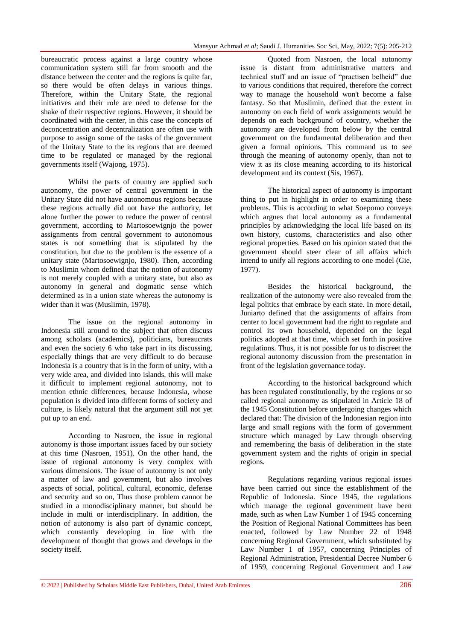bureaucratic process against a large country whose communication system still far from smooth and the distance between the center and the regions is quite far, so there would be often delays in various things. Therefore, within the Unitary State, the regional initiatives and their role are need to defense for the shake of their respective regions. However, it should be coordinated with the center, in this case the concepts of deconcentration and decentralization are often use with purpose to assign some of the tasks of the government of the Unitary State to the its regions that are deemed time to be regulated or managed by the regional governments itself (Wajong, 1975).

Whilst the parts of country are applied such autonomy, the power of central government in the Unitary State did not have autonomous regions because these regions actually did not have the authority, let alone further the power to reduce the power of central government, according to Martosoewignjo the power assignments from central government to autonomous states is not something that is stipulated by the constitution, but due to the problem is the essence of a unitary state (Martosoewignjo, 1980). Then, according to Muslimin whom defined that the notion of autonomy is not merely coupled with a unitary state, but also as autonomy in general and dogmatic sense which determined as in a union state whereas the autonomy is wider than it was (Muslimin, 1978).

The issue on the regional autonomy in Indonesia still around to the subject that often discuss among scholars (academics), politicians, bureaucrats and even the society 6 who take part in its discussing, especially things that are very difficult to do because Indonesia is a country that is in the form of unity, with a very wide area, and divided into islands, this will make it difficult to implement regional autonomy, not to mention ethnic differences, because Indonesia, whose population is divided into different forms of society and culture, is likely natural that the argument still not yet put up to an end.

According to Nasroen, the issue in regional autonomy is those important issues faced by our society at this time (Nasroen, 1951). On the other hand, the issue of regional autonomy is very complex with various dimensions. The issue of autonomy is not only a matter of law and government, but also involves aspects of social, political, cultural, economic, defense and security and so on, Thus those problem cannot be studied in a monodisciplinary manner, but should be include in multi or interdisciplinary. In addition, the notion of autonomy is also part of dynamic concept, which constantly developing in line with the development of thought that grows and develops in the society itself.

Quoted from Nasroen, the local autonomy issue is distant from administrative matters and technical stuff and an issue of "practisen belheid" due to various conditions that required, therefore the correct way to manage the household won't become a false fantasy. So that Muslimin, defined that the extent in autonomy on each field of work assignments would be depends on each background of country, whether the autonomy are developed from below by the central government on the fundamental deliberation and then given a formal opinions. This command us to see through the meaning of autonomy openly, than not to view it as its close meaning according to its historical development and its context (Sis, 1967).

The historical aspect of autonomy is important thing to put in highlight in order to examining these problems. This is according to what Soepomo conveys which argues that local autonomy as a fundamental principles by acknowledging the local life based on its own history, customs, characteristics and also other regional properties. Based on his opinion stated that the government should steer clear of all affairs which intend to unify all regions according to one model (Gie, 1977).

Besides the historical background, the realization of the autonomy were also revealed from the legal politics that embrace by each state. In more detail, Juniarto defined that the assignments of affairs from center to local government had the right to regulate and control its own household, depended on the legal politics adopted at that time, which set forth in positive regulations. Thus, it is not possible for us to discreet the regional autonomy discussion from the presentation in front of the legislation governance today.

According to the historical background which has been regulated constitutionally, by the regions or so called regional autonomy as stipulated in Article 18 of the 1945 Constitution before undergoing changes which declared that: The division of the Indonesian region into large and small regions with the form of government structure which managed by Law through observing and remembering the basis of deliberation in the state government system and the rights of origin in special regions.

Regulations regarding various regional issues have been carried out since the establishment of the Republic of Indonesia. Since 1945, the regulations which manage the regional government have been made, such as when Law Number 1 of 1945 concerning the Position of Regional National Committees has been enacted, followed by Law Number 22 of 1948 concerning Regional Government, which substituted by Law Number 1 of 1957, concerning Principles of Regional Administration, Presidential Decree Number 6 of 1959, concerning Regional Government and Law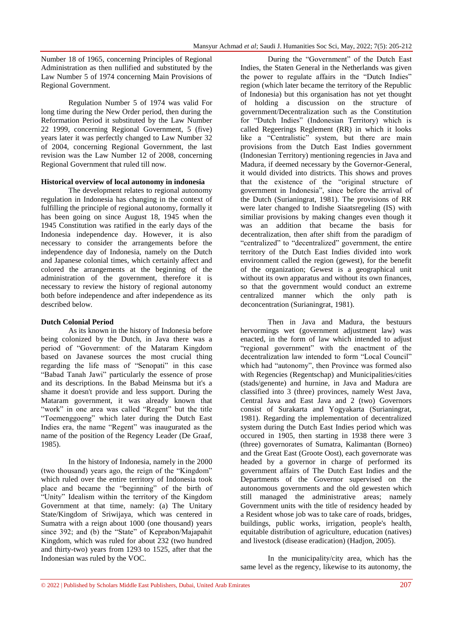Number 18 of 1965, concerning Principles of Regional Administration as then nullified and substituted by the Law Number 5 of 1974 concerning Main Provisions of Regional Government.

Regulation Number 5 of 1974 was valid For long time during the New Order period, then during the Reformation Period it substituted by the Law Number 22 1999, concerning Regional Government, 5 (five) years later it was perfectly changed to Law Number 32 of 2004, concerning Regional Government, the last revision was the Law Number 12 of 2008, concerning Regional Government that ruled till now.

#### **Historical overview of local autonomy in indonesia**

The development relates to regional autonomy regulation in Indonesia has changing in the context of fulfilling the principle of regional autonomy, formally it has been going on since August 18, 1945 when the 1945 Constitution was ratified in the early days of the Indonesia independence day. However, it is also necessary to consider the arrangements before the independence day of Indonesia, namely on the Dutch and Japanese colonial times, which certainly affect and colored the arrangements at the beginning of the administration of the government, therefore it is necessary to review the history of regional autonomy both before independence and after independence as its described below.

#### **Dutch Colonial Period**

As its known in the history of Indonesia before being colonized by the Dutch, in Java there was a period of "Government: of the Mataram Kingdom based on Javanese sources the most crucial thing regarding the life mass of "Senopati" in this case "Babad Tanah Jawi" particularly the essence of prose and its descriptions. In the Babad Meinsma but it's a shame it doesn't provide and less support. During the Mataram government, it was already known that "work" in one area was called "Regent" but the title "Toemenggoeng" which later during the Dutch East Indies era, the name "Regent" was inaugurated as the name of the position of the Regency Leader (De Graaf, 1985).

In the history of Indonesia, namely in the 2000 (two thousand) years ago, the reign of the "Kingdom" which ruled over the entire territory of Indonesia took place and became the "beginning" of the birth of "Unity" Idealism within the territory of the Kingdom Government at that time, namely: (a) The Unitary State/Kingdom of Sriwijaya, which was centered in Sumatra with a reign about 1000 (one thousand) years since 392; and (b) the "State" of Keprabon/Majapahit Kingdom, which was ruled for about 232 (two hundred and thirty-two) years from 1293 to 1525, after that the Indonesian was ruled by the VOC.

During the "Government" of the Dutch East Indies, the Staten General in the Netherlands was given the power to regulate affairs in the "Dutch Indies" region (which later became the territory of the Republic of Indonesia) but this organisation has not yet thought of holding a discussion on the structure of government/Decentralization such as the Constitution for "Dutch Indies" (Indonesian Territory) which is called Regeerings Reglement (RR) in which it looks like a "Centralistic" system, but there are main provisions from the Dutch East Indies government (Indonesian Territory) mentioning regencies in Java and Madura, if deemed necessary by the Governor-General, it would divided into districts. This shows and proves that the existence of the "original structure of government in Indonesia", since before the arrival of the Dutch (Surianingrat, 1981). The provisions of RR were later changed to Indishe Siaatsregeling (IS) with similiar provisions by making changes even though it was an addition that became the basis for decentralization, then after shift from the paradigm of "centralized" to "decentralized" government, the entire territory of the Dutch East Indies divided into work environment called the region (gewest), for the benefit of the organization; Gewest is a geographical unit without its own apparatus and without its own finances, so that the government would conduct an extreme centralized manner which the only path is deconcentration (Surianingrat, 1981).

Then in Java and Madura, the bestuurs hervormings wet (government adjustment law) was enacted, in the form of law which intended to adjust "regional government" with the enactment of the decentralization law intended to form "Local Council" which had "autonomy", then Province was formed also with Regencies (Regentschap) and Municipalities/cities (stads/genente) and hurnine, in Java and Madura are classified into 3 (three) provinces, namely West Java, Central Java and East Java and 2 (two) Governors consist of Surakarta and Yogyakarta (Surianingrat, 1981). Regarding the implementation of decentralized system during the Dutch East Indies period which was occured in 1905, then starting in 1938 there were 3 (three) governorates of Sumatra, Kalimantan (Borneo) and the Great East (Groote Oost), each governorate was headed by a governor in charge of performed its government affairs of The Dutch East Indies and the Departments of the Governor supervised on the autonomous governments and the old gewesten which still managed the administrative areas; namely Government units with the title of residency headed by a Resident whose job was to take care of roads, bridges, buildings, public works, irrigation, people's health, equitable distribution of agriculture, education (natives) and livestock (disease eradication) (Hadjon, 2005).

In the municipality/city area, which has the same level as the regency, likewise to its autonomy, the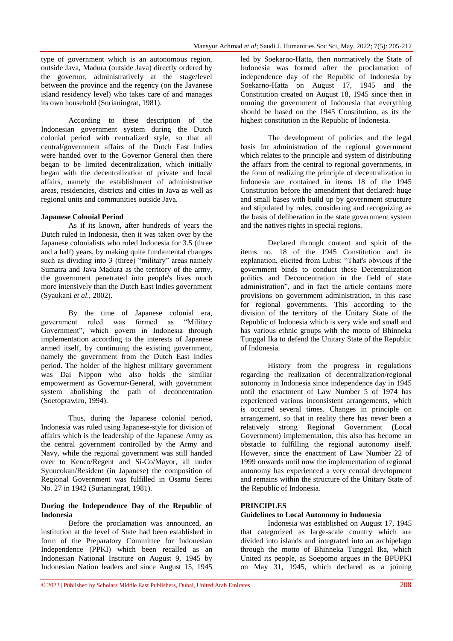type of government which is an autonomous region, outside Java, Madura (outside Java) directly ordered by the governor, administratively at the stage/level between the province and the regency (on the Javanese island residency level) who takes care of and manages its own household (Surianingrat, 1981).

According to these description of the Indonesian government system during the Dutch colonial period with centralized style, so that all central/government affairs of the Dutch East Indies were handed over to the Governor General then there began to be limited decentralization, which initially began with the decentralization of private and local affairs, namely the establishment of administrative areas, residencies, districts and cities in Java as well as regional units and communities outside Java.

#### **Japanese Colonial Period**

As if its known, after hundreds of years the Dutch ruled in Indonesia, then it was taken over by the Japanese colonialists who ruled Indonesia for 3.5 (three and a half) years, by making quite fundamental changes such as dividing into 3 (three) "military" areas namely Sumatra and Java Madura as the territory of the army, the government penetrated into people's lives much more intensively than the Dutch East Indies government (Syaukani *et al*., 2002).

By the time of Japanese colonial era, government ruled was formed as "Military Government", which govern in Indonesia through implementation according to the interests of Japanese armed itself, by continuing the existing government, namely the government from the Dutch East Indies period. The holder of the highest military government was Dai Nippon who also holds the similiar empowerment as Governor-General, with government system abolishing the path of deconcentration (Soetoprawiro, 1994).

Thus, during the Japanese colonial period, Indonesia was ruled using Japanese-style for division of affairs which is the leadership of the Japanese Army as the central government controlled by the Army and Navy, while the regional government was still handed over to Kenco/Regent and Si-Co/Mayor, all under Syuucokan/Resident (in Japanese) the composition of Regional Government was fulfilled in Osamu Seirei No. 27 in 1942 (Surianingrat, 1981).

#### **During the Independence Day of the Republic of Indonesia**

Before the proclamation was announced, an institution at the level of State had been established in form of the Preparatory Committee for Indonesian Independence (PPKI) which been recalled as an Indonesian National Institute on August 9, 1945 by Indonesian Nation leaders and since August 15, 1945

led by Soekarno-Hatta, then normatively the State of Indonesia was formed after the proclamation of independence day of the Republic of Indonesia by Soekarno-Hatta on August 17, 1945 and the Constitution created on August 18, 1945 since then in running the government of Indonesia that everything should be based on the 1945 Constitution, as its the highest constitution in the Republic of Indonesia.

The development of policies and the legal basis for administration of the regional government which relates to the principle and system of distributing the affairs from the central to regional governments, in the form of realizing the principle of decentralization in Indonesia are contained in items 18 of the 1945 Constitution before the amendment that declared: huge and small bases with build up by government structure and stipulated by rules, considering and recognizing as the basis of deliberation in the state government system and the natives rights in special regions.

Declared through content and spirit of the items no. 18 of the 1945 Constitution and its explanation, elicited from Lubis: "That's obvious if the government binds to conduct these Decentralization politics and Deconcentration in the field of state administration", and in fact the article contains more provisions on government administration, in this case for regional governments. This according to the division of the territory of the Unitary State of the Republic of Indonesia which is very wide and small and has various ethnic groups with the motto of Bhinneka Tunggal Ika to defend the Unitary State of the Republic of Indonesia.

History from the progress in regulations regarding the realization of decentralization/regional autonomy in Indonesia since independence day in 1945 until the enactment of Law Number 5 of 1974 has experienced various inconsistent arrangements, which is occured several times. Changes in principle on arrangement, so that in reality there has never been a relatively strong Regional Government (Local Government) implementation, this also has become an obstacle to fulfilling the regional autonomy itself. However, since the enactment of Law Number 22 of 1999 onwards until now the implementation of regional autonomy has experienced a very central development and remains within the structure of the Unitary State of the Republic of Indonesia.

#### **PRINCIPLES**

#### **Guidelines to Local Autonomy in Indonesia**

Indonesia was established on August 17, 1945 that categorized as large-scale country which are divided into islands and integrated into an archipelago through the motto of Bhinneka Tunggal Ika, which United its people, as Soepomo argues in the BPUPKI on May 31, 1945, which declared as a joining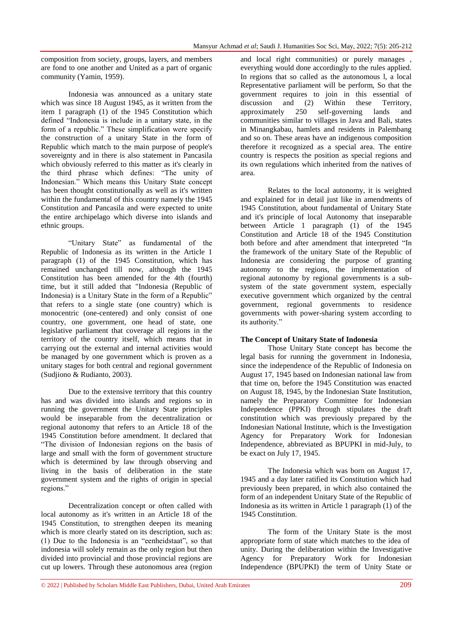composition from society, groups, layers, and members are fond to one another and United as a part of organic community (Yamin, 1959).

Indonesia was announced as a unitary state which was since 18 August 1945, as it written from the item 1 paragraph (1) of the 1945 Constitution which defined "Indonesia is include in a unitary state, in the form of a republic." These simplification were specify the construction of a unitary State in the form of Republic which match to the main purpose of people's sovereignty and in there is also statement in Pancasila which obviously referred to this matter as it's clearly in the third phrase which defines: "The unity of Indonesian." Which means this Unitary State concept has been thought constitutionally as well as it's written within the fundamental of this country namely the 1945 Constitution and Pancasila and were expected to unite the entire archipelago which diverse into islands and ethnic groups.

"Unitary State" as fundamental of the Republic of Indonesia as its written in the Article 1 paragraph (1) of the 1945 Constitution, which has remained unchanged till now, although the 1945 Constitution has been amended for the 4th (fourth) time, but it still added that "Indonesia (Republic of Indonesia) is a Unitary State in the form of a Republic" that refers to a single state (one country) which is monocentric (one-centered) and only consist of one country, one government, one head of state, one legislative parliament that coverage all regions in the territory of the country itself, which means that in carrying out the external and internal activities would be managed by one government which is proven as a unitary stages for both central and regional government (Sudjiono & Rudianto, 2003).

Due to the extensive territory that this country has and was divided into islands and regions so in running the government the Unitary State principles would be inseparable from the decentralization or regional autonomy that refers to an Article 18 of the 1945 Constitution before amendment. It declared that "The division of Indonesian regions on the basis of large and small with the form of government structure which is determined by law through observing and living in the basis of deliberation in the state government system and the rights of origin in special regions."

Decentralization concept or often called with local autonomy as it's written in an Article 18 of the 1945 Constitution, to strengthen deepen its meaning which is more clearly stated on its description, such as: (1) Due to the Indonesia is an "eenheidstaat", so that indonesia will solely remain as the only region but then divided into provincial and those provincial regions are cut up lowers. Through these autonomous area (region

and local right communities) or purely manages everything would done accordingly to the rules applied. In regions that so called as the autonomous l, a local Representative parliament will be perform, So that the government requires to join in this essential of discussion and (2) Within these Territory, approximately 250 self-governing lands and communities similar to villages in Java and Bali, states in Minangkabau, hamlets and residents in Palembang and so on. These areas have an indigenous composition therefore it recognized as a special area. The entire country is respects the position as special regions and its own regulations which inherited from the natives of area.

Relates to the local autonomy, it is weighted and explained for in detail just like in amendments of 1945 Constitution, about fundamental of Unitary State and it's principle of local Autonomy that inseparable between Article 1 paragraph (1) of the 1945 Constitution and Article 18 of the 1945 Constitution both before and after amendment that interpreted "In the framework of the unitary State of the Republic of Indonesia are considering the purpose of granting autonomy to the regions, the implementation of regional autonomy by regional governments is a subsystem of the state government system, especially executive government which organized by the central government, regional governments to residence governments with power-sharing system according to its authority."

#### **The Concept of Unitary State of Indonesia**

Those Unitary State concept has become the legal basis for running the government in Indonesia, since the independence of the Republic of Indonesia on August 17, 1945 based on Indonesian national law from that time on, before the 1945 Constitution was enacted on August 18, 1945, by the Indonesian State Institution, namely the Preparatory Committee for Indonesian Independence (PPKI) through stipulates the draft constitution which was previously prepared by the Indonesian National Institute, which is the Investigation Agency for Preparatory Work for Indonesian Independence, abbreviated as BPUPKI in mid-July, to be exact on July 17, 1945.

The Indonesia which was born on August 17, 1945 and a day later ratified its Constitution which had previously been prepared, in which also contained the form of an independent Unitary State of the Republic of Indonesia as its written in Article 1 paragraph (1) of the 1945 Constitution.

The form of the Unitary State is the most appropriate form of state which matches to the idea of unity. During the deliberation within the Investigative Agency for Preparatory Work for Indonesian Independence (BPUPKI) the term of Unity State or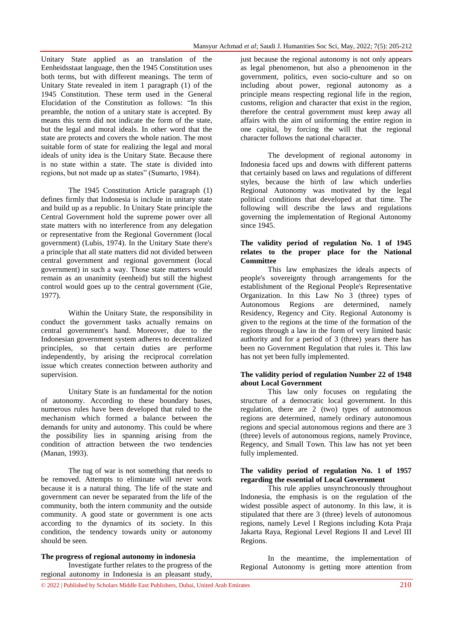Unitary State applied as an translation of the Eenheidsstaat language, then the 1945 Constitution uses both terms, but with different meanings. The term of Unitary State revealed in item 1 paragraph (1) of the 1945 Constitution. These term used in the General Elucidation of the Constitution as follows: "In this preamble, the notion of a unitary state is accepted. By means this term did not indicate the form of the state, but the legal and moral ideals. In other word that the state are protects and covers the whole nation. The most suitable form of state for realizing the legal and moral ideals of unity idea is the Unitary State. Because there is no state within a state. The state is divided into regions, but not made up as states" (Sumarto, 1984).

The 1945 Constitution Article paragraph (1) defines firmly that Indonesia is include in unitary state and build up as a republic. In Unitary State principle the Central Government hold the supreme power over all state matters with no interference from any delegation or representative from the Regional Government (local government) (Lubis, 1974). In the Unitary State there's a principle that all state matters did not divided between central government and regional government (local government) in such a way. Those state matters would remain as an unanimity (eenheid) but still the highest control would goes up to the central government (Gie, 1977).

Within the Unitary State, the responsibility in conduct the government tasks actually remains on central government's hand. Moreover, due to the Indonesian government system adheres to decentralized principles, so that certain duties are performe independently, by arising the reciprocal correlation issue which creates connection between authority and supervision.

Unitary State is an fundamental for the notion of autonomy. According to these boundary bases, numerous rules have been developed that ruled to the mechanism which formed a balance between the demands for unity and autonomy. This could be where the possibility lies in spanning arising from the condition of attraction between the two tendencies (Manan, 1993).

The tug of war is not something that needs to be removed. Attempts to eliminate will never work because it is a natural thing. The life of the state and government can never be separated from the life of the community, both the intern community and the outside community. A good state or government is one acts according to the dynamics of its society. In this condition, the tendency towards unity or autonomy should be seen.

#### **The progress of regional autonomy in indonesia**

Investigate further relates to the progress of the regional autonomy in Indonesia is an pleasant study,

just because the regional autonomy is not only appears as legal phenomenon, but also a phenomenon in the government, politics, even socio-culture and so on including about power, regional autonomy as a principle means respecting regional life in the region, customs, religion and character that exist in the region, therefore the central government must keep away all affairs with the aim of uniforming the entire region in one capital, by forcing the will that the regional character follows the national character.

The development of regional autonomy in Indonesia faced ups and downs with different patterns that certainly based on laws and regulations of different styles, because the birth of law which underlies Regional Autonomy was motivated by the legal political conditions that developed at that time. The following will describe the laws and regulations governing the implementation of Regional Autonomy since 1945.

#### **The validity period of regulation No. 1 of 1945 relates to the proper place for the National Committee**

This law emphasizes the ideals aspects of people's sovereignty through arrangements for the establishment of the Regional People's Representative Organization. In this Law No 3 (three) types of Autonomous Regions are determined, namely Residency, Regency and City. Regional Autonomy is given to the regions at the time of the formation of the regions through a law in the form of very limited basic authority and for a period of 3 (three) years there has been no Government Regulation that rules it. This law has not yet been fully implemented.

#### **The validity period of regulation Number 22 of 1948 about Local Government**

This law only focuses on regulating the structure of a democratic local government. In this regulation, there are 2 (two) types of autonomous regions are determined, namely ordinary autonomous regions and special autonomous regions and there are 3 (three) levels of autonomous regions, namely Province, Regency, and Small Town. This law has not yet been fully implemented.

## **The validity period of regulation No. 1 of 1957 regarding the essential of Local Government**

This rule applies unsynchronously throughout Indonesia, the emphasis is on the regulation of the widest possible aspect of autonomy. In this law, it is stipulated that there are 3 (three) levels of autonomous regions, namely Level I Regions including Kota Praja Jakarta Raya, Regional Level Regions II and Level III Regions.

In the meantime, the implementation of Regional Autonomy is getting more attention from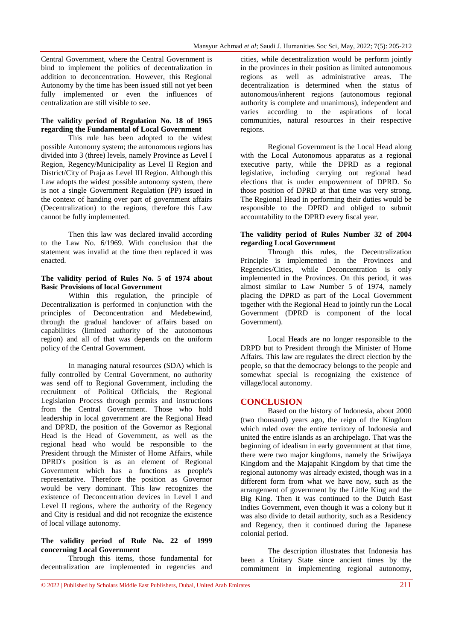Central Government, where the Central Government is bind to implement the politics of decentralization in addition to deconcentration. However, this Regional Autonomy by the time has been issued still not yet been fully implemented or even the influences of centralization are still visible to see.

#### **The validity period of Regulation No. 18 of 1965 regarding the Fundamental of Local Government**

This rule has been adopted to the widest possible Autonomy system; the autonomous regions has divided into 3 (three) levels, namely Province as Level I Region, Regency/Municipality as Level II Region and District/City of Praja as Level III Region. Although this Law adopts the widest possible autonomy system, there is not a single Government Regulation (PP) issued in the context of handing over part of government affairs (Decentralization) to the regions, therefore this Law cannot be fully implemented.

Then this law was declared invalid according to the Law No. 6/1969. With conclusion that the statement was invalid at the time then replaced it was enacted.

#### **The validity period of Rules No. 5 of 1974 about Basic Provisions of local Government**

Within this regulation, the principle of Decentralization is performed in conjunction with the principles of Deconcentration and Medebewind, through the gradual handover of affairs based on capabilities (limited authority of the autonomous region) and all of that was depends on the uniform policy of the Central Government.

In managing natural resources (SDA) which is fully controlled by Central Government, no authority was send off to Regional Government, including the recruitment of Political Officials, the Regional Legislation Process through permits and instructions from the Central Government. Those who hold leadership in local government are the Regional Head and DPRD, the position of the Governor as Regional Head is the Head of Government, as well as the regional head who would be responsible to the President through the Minister of Home Affairs, while DPRD's position is as an element of Regional Government which has a functions as people's representative. Therefore the position as Governor would be very dominant. This law recognizes the existence of Deconcentration devices in Level I and Level II regions, where the authority of the Regency and City is residual and did not recognize the existence of local village autonomy.

#### **The validity period of Rule No. 22 of 1999 concerning Local Government**

Through this items, those fundamental for decentralization are implemented in regencies and cities, while decentralization would be perform jointly in the provinces in their position as limited autonomous regions as well as administrative areas. The decentralization is determined when the status of autonomous/inherent regions (autonomous regional authority is complete and unanimous), independent and varies according to the aspirations of local communities, natural resources in their respective regions.

Regional Government is the Local Head along with the Local Autonomous apparatus as a regional executive party, while the DPRD as a regional legislative, including carrying out regional head elections that is under empowerment of DPRD. So those position of DPRD at that time was very strong. The Regional Head in performing their duties would be responsible to the DPRD and obliged to submit accountability to the DPRD every fiscal year.

## **The validity period of Rules Number 32 of 2004 regarding Local Government**

Through this rules, the Decentralization Principle is implemented in the Provinces and Regencies/Cities, while Deconcentration is only implemented in the Provinces. On this period, it was almost similar to Law Number 5 of 1974, namely placing the DPRD as part of the Local Government together with the Regional Head to jointly run the Local Government (DPRD is component of the local Government).

Local Heads are no longer responsible to the DRPD but to President through the Minister of Home Affairs. This law are regulates the direct election by the people, so that the democracy belongs to the people and somewhat special is recognizing the existence of village/local autonomy.

# **CONCLUSION**

Based on the history of Indonesia, about 2000 (two thousand) years ago, the reign of the Kingdom which ruled over the entire territory of Indonesia and united the entire islands as an archipelago. That was the beginning of idealism in early government at that time, there were two major kingdoms, namely the Sriwijaya Kingdom and the Majapahit Kingdom by that time the regional autonomy was already existed, though was in a different form from what we have now, such as the arrangement of government by the Little King and the Big King. Then it was continued to the Dutch East Indies Government, even though it was a colony but it was also divide to detail authority, such as a Residency and Regency, then it continued during the Japanese colonial period.

The description illustrates that Indonesia has been a Unitary State since ancient times by the commitment in implementing regional autonomy,